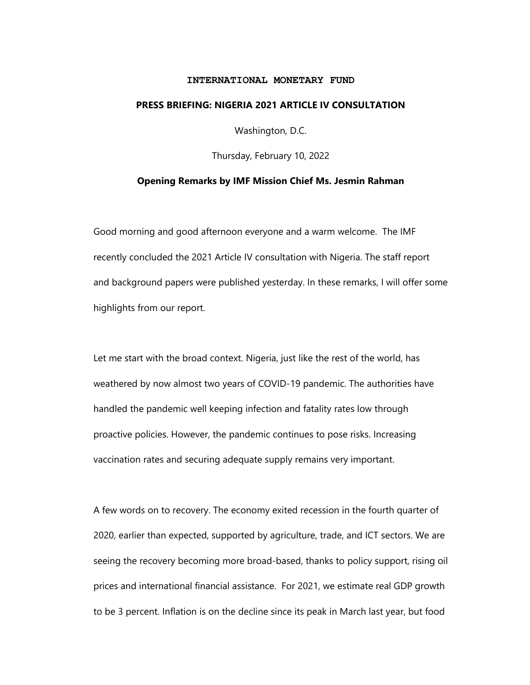## **INTERNATIONAL MONETARY FUND**

## **PRESS BRIEFING: NIGERIA 2021 ARTICLE IV CONSULTATION**

Washington, D.C.

Thursday, February 10, 2022

## **Opening Remarks by IMF Mission Chief Ms. Jesmin Rahman**

Good morning and good afternoon everyone and a warm welcome. The IMF recently concluded the 2021 Article IV consultation with Nigeria. The staff report and background papers were published yesterday. In these remarks, I will offer some highlights from our report.

Let me start with the broad context. Nigeria, just like the rest of the world, has weathered by now almost two years of COVID-19 pandemic. The authorities have handled the pandemic well keeping infection and fatality rates low through proactive policies. However, the pandemic continues to pose risks. Increasing vaccination rates and securing adequate supply remains very important.

A few words on to recovery. The economy exited recession in the fourth quarter of 2020, earlier than expected, supported by agriculture, trade, and ICT sectors. We are seeing the recovery becoming more broad-based, thanks to policy support, rising oil prices and international financial assistance. For 2021, we estimate real GDP growth to be 3 percent. Inflation is on the decline since its peak in March last year, but food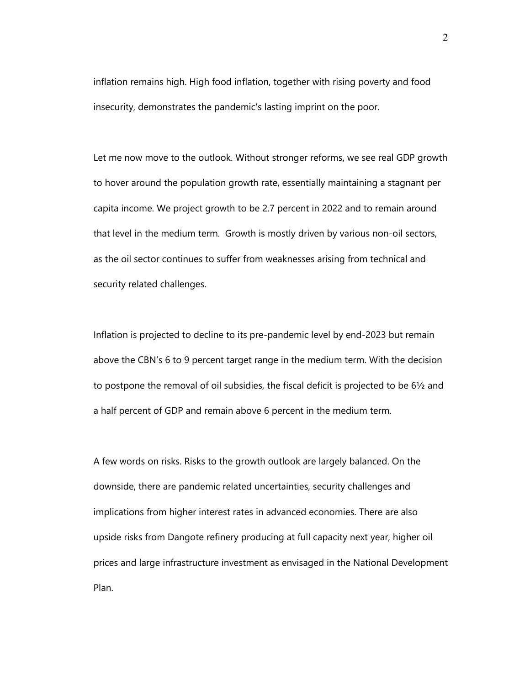inflation remains high. High food inflation, together with rising poverty and food insecurity, demonstrates the pandemic's lasting imprint on the poor.

Let me now move to the outlook. Without stronger reforms, we see real GDP growth to hover around the population growth rate, essentially maintaining a stagnant per capita income. We project growth to be 2.7 percent in 2022 and to remain around that level in the medium term. Growth is mostly driven by various non-oil sectors, as the oil sector continues to suffer from weaknesses arising from technical and security related challenges.

Inflation is projected to decline to its pre-pandemic level by end-2023 but remain above the CBN's 6 to 9 percent target range in the medium term. With the decision to postpone the removal of oil subsidies, the fiscal deficit is projected to be 6½ and a half percent of GDP and remain above 6 percent in the medium term.

A few words on risks. Risks to the growth outlook are largely balanced. On the downside, there are pandemic related uncertainties, security challenges and implications from higher interest rates in advanced economies. There are also upside risks from Dangote refinery producing at full capacity next year, higher oil prices and large infrastructure investment as envisaged in the National Development Plan.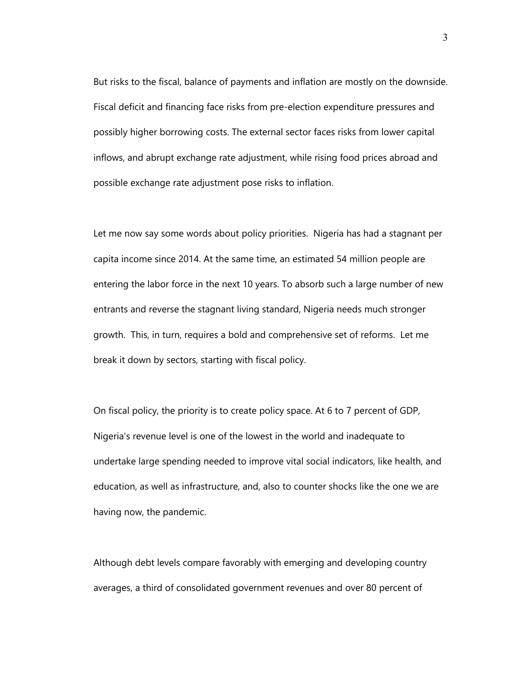But risks to the fiscal, balance of payments and inflation are mostly on the downside. Fiscal deficit and financing face risks from pre-election expenditure pressures and possibly higher borrowing costs. The external sector faces risks from lower capital inflows, and abrupt exchange rate adjustment, while rising food prices abroad and possible exchange rate adjustment pose risks to inflation.

Let me now say some words about policy priorities. Nigeria has had a stagnant per capita income since 2014. At the same time, an estimated 54 million people are entering the labor force in the next 10 years. To absorb such a large number of new entrants and reverse the stagnant living standard, Nigeria needs much stronger growth. This, in turn, requires a bold and comprehensive set of reforms. Let me break it down by sectors, starting with fiscal policy.

On fiscal policy, the priority is to create policy space. At 6 to 7 percent of GDP, Nigeria's revenue level is one of the lowest in the world and inadequate to undertake large spending needed to improve vital social indicators, like health, and education, as well as infrastructure, and, also to counter shocks like the one we are having now, the pandemic.

Although debt levels compare favorably with emerging and developing country averages, a third of consolidated government revenues and over 80 percent of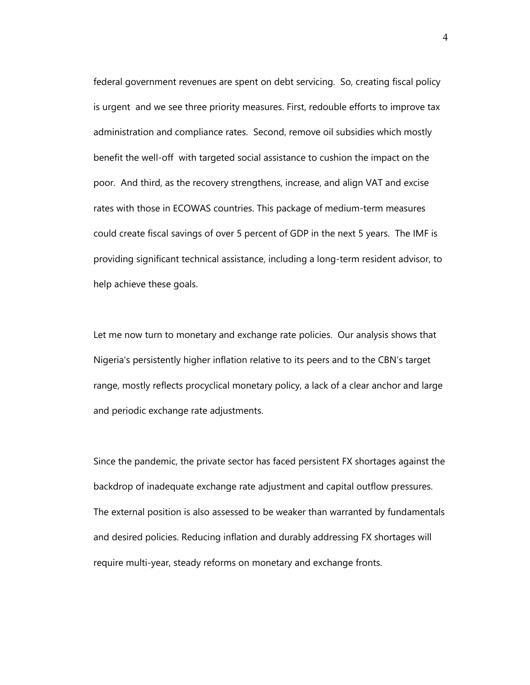federal government revenues are spent on debt servicing. So, creating fiscal policy is urgent and we see three priority measures. First, redouble efforts to improve tax administration and compliance rates. Second, remove oil subsidies which mostly benefit the well-off with targeted social assistance to cushion the impact on the poor. And third, as the recovery strengthens, increase, and align VAT and excise rates with those in ECOWAS countries. This package of medium-term measures could create fiscal savings of over 5 percent of GDP in the next 5 years. The IMF is providing significant technical assistance, including a long-term resident advisor, to help achieve these goals.

Let me now turn to monetary and exchange rate policies. Our analysis shows that Nigeria's persistently higher inflation relative to its peers and to the CBN's target range, mostly reflects procyclical monetary policy, a lack of a clear anchor and large and periodic exchange rate adjustments.

Since the pandemic, the private sector has faced persistent FX shortages against the backdrop of inadequate exchange rate adjustment and capital outflow pressures. The external position is also assessed to be weaker than warranted by fundamentals and desired policies. Reducing inflation and durably addressing FX shortages will require multi-year, steady reforms on monetary and exchange fronts.

4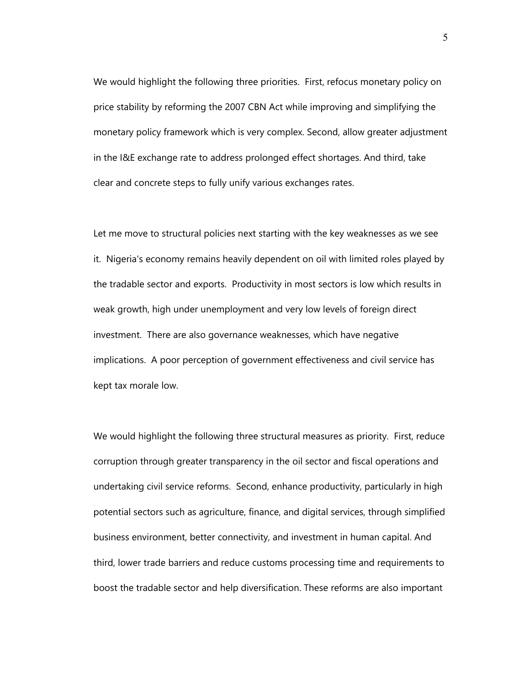We would highlight the following three priorities. First, refocus monetary policy on price stability by reforming the 2007 CBN Act while improving and simplifying the monetary policy framework which is very complex. Second, allow greater adjustment in the I&E exchange rate to address prolonged effect shortages. And third, take clear and concrete steps to fully unify various exchanges rates.

Let me move to structural policies next starting with the key weaknesses as we see it. Nigeria's economy remains heavily dependent on oil with limited roles played by the tradable sector and exports. Productivity in most sectors is low which results in weak growth, high under unemployment and very low levels of foreign direct investment. There are also governance weaknesses, which have negative implications. A poor perception of government effectiveness and civil service has kept tax morale low.

We would highlight the following three structural measures as priority. First, reduce corruption through greater transparency in the oil sector and fiscal operations and undertaking civil service reforms. Second, enhance productivity, particularly in high potential sectors such as agriculture, finance, and digital services, through simplified business environment, better connectivity, and investment in human capital. And third, lower trade barriers and reduce customs processing time and requirements to boost the tradable sector and help diversification. These reforms are also important